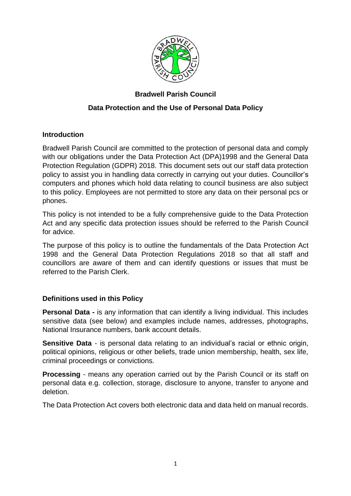

# **Bradwell Parish Council**

# **Data Protection and the Use of Personal Data Policy**

## **Introduction**

Bradwell Parish Council are committed to the protection of personal data and comply with our obligations under the Data Protection Act (DPA)1998 and the General Data Protection Regulation (GDPR) 2018. This document sets out our staff data protection policy to assist you in handling data correctly in carrying out your duties. Councillor's computers and phones which hold data relating to council business are also subject to this policy. Employees are not permitted to store any data on their personal pcs or phones.

This policy is not intended to be a fully comprehensive guide to the Data Protection Act and any specific data protection issues should be referred to the Parish Council for advice.

The purpose of this policy is to outline the fundamentals of the Data Protection Act 1998 and the General Data Protection Regulations 2018 so that all staff and councillors are aware of them and can identify questions or issues that must be referred to the Parish Clerk.

## **Definitions used in this Policy**

**Personal Data -** is any information that can identify a living individual. This includes sensitive data (see below) and examples include names, addresses, photographs, National Insurance numbers, bank account details.

**Sensitive Data** - is personal data relating to an individual's racial or ethnic origin, political opinions, religious or other beliefs, trade union membership, health, sex life, criminal proceedings or convictions.

**Processing** - means any operation carried out by the Parish Council or its staff on personal data e.g. collection, storage, disclosure to anyone, transfer to anyone and deletion.

The Data Protection Act covers both electronic data and data held on manual records.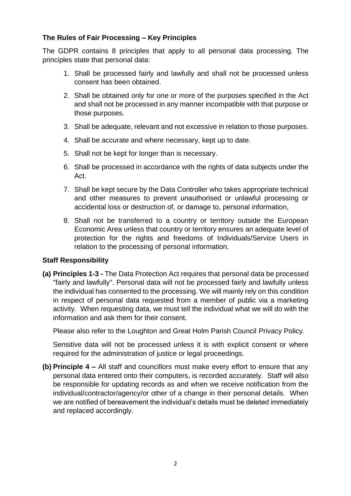# **The Rules of Fair Processing – Key Principles**

The GDPR contains 8 principles that apply to all personal data processing. The principles state that personal data:

- 1. Shall be processed fairly and lawfully and shall not be processed unless consent has been obtained.
- 2. Shall be obtained only for one or more of the purposes specified in the Act and shall not be processed in any manner incompatible with that purpose or those purposes.
- 3. Shall be adequate, relevant and not excessive in relation to those purposes.
- 4. Shall be accurate and where necessary, kept up to date.
- 5. Shall not be kept for longer than is necessary.
- 6. Shall be processed in accordance with the rights of data subjects under the Act.
- 7. Shall be kept secure by the Data Controller who takes appropriate technical and other measures to prevent unauthorised or unlawful processing or accidental loss or destruction of, or damage to, personal information,
- 8. Shall not be transferred to a country or territory outside the European Economic Area unless that country or territory ensures an adequate level of protection for the rights and freedoms of Individuals/Service Users in relation to the processing of personal information.

#### **Staff Responsibility**

**(a) Principles 1-3 -** The Data Protection Act requires that personal data be processed "fairly and lawfully". Personal data will not be processed fairly and lawfully unless the individual has consented to the processing. We will mainly rely on this condition in respect of personal data requested from a member of public via a marketing activity. When requesting data, we must tell the individual what we will do with the information and ask them for their consent.

Please also refer to the Loughton and Great Holm Parish Council Privacy Policy.

Sensitive data will not be processed unless it is with explicit consent or where required for the administration of justice or legal proceedings.

**(b) Principle 4 –** All staff and councillors must make every effort to ensure that any personal data entered onto their computers, is recorded accurately. Staff will also be responsible for updating records as and when we receive notification from the individual/contractor/agency/or other of a change in their personal details. When we are notified of bereavement the individual's details must be deleted immediately and replaced accordingly.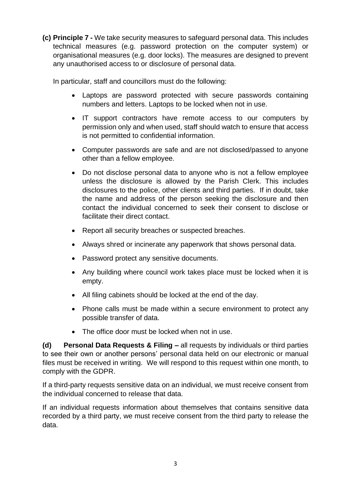**(c) Principle 7 -** We take security measures to safeguard personal data. This includes technical measures (e.g. password protection on the computer system) or organisational measures (e.g. door locks). The measures are designed to prevent any unauthorised access to or disclosure of personal data.

In particular, staff and councillors must do the following:

- Laptops are password protected with secure passwords containing numbers and letters. Laptops to be locked when not in use.
- IT support contractors have remote access to our computers by permission only and when used, staff should watch to ensure that access is not permitted to confidential information.
- Computer passwords are safe and are not disclosed/passed to anyone other than a fellow employee.
- Do not disclose personal data to anyone who is not a fellow employee unless the disclosure is allowed by the Parish Clerk. This includes disclosures to the police, other clients and third parties. If in doubt, take the name and address of the person seeking the disclosure and then contact the individual concerned to seek their consent to disclose or facilitate their direct contact.
- Report all security breaches or suspected breaches.
- Always shred or incinerate any paperwork that shows personal data.
- Password protect any sensitive documents.
- Any building where council work takes place must be locked when it is empty.
- All filing cabinets should be locked at the end of the day.
- Phone calls must be made within a secure environment to protect any possible transfer of data.
- The office door must be locked when not in use.

**(d) Personal Data Requests & Filing –** all requests by individuals or third parties to see their own or another persons' personal data held on our electronic or manual files must be received in writing. We will respond to this request within one month, to comply with the GDPR.

If a third-party requests sensitive data on an individual, we must receive consent from the individual concerned to release that data.

If an individual requests information about themselves that contains sensitive data recorded by a third party, we must receive consent from the third party to release the data.